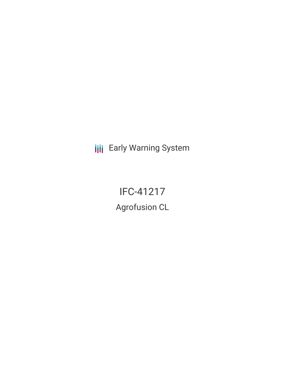**III** Early Warning System

IFC-41217 Agrofusion CL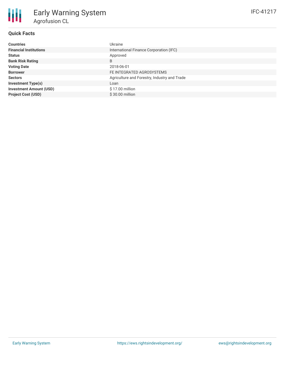## **Quick Facts**

| <b>Countries</b>               | Ukraine                                      |
|--------------------------------|----------------------------------------------|
| <b>Financial Institutions</b>  | International Finance Corporation (IFC)      |
| <b>Status</b>                  | Approved                                     |
| <b>Bank Risk Rating</b>        | B                                            |
| <b>Voting Date</b>             | 2018-06-01                                   |
| <b>Borrower</b>                | FE INTEGRATED AGROSYSTEMS                    |
| <b>Sectors</b>                 | Agriculture and Forestry, Industry and Trade |
| <b>Investment Type(s)</b>      | Loan                                         |
| <b>Investment Amount (USD)</b> | \$17.00 million                              |
| <b>Project Cost (USD)</b>      | $$30.00$ million                             |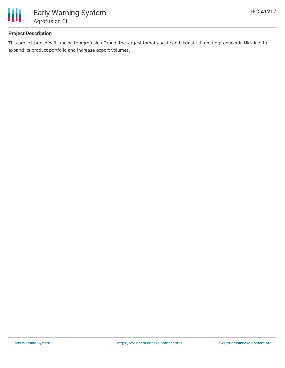

## **Project Description**

This project provides financing to Agrofusion Group, the largest tomato paste and industrial tomato producer in Ukraine, to expand its product portfolio and increase export volumes.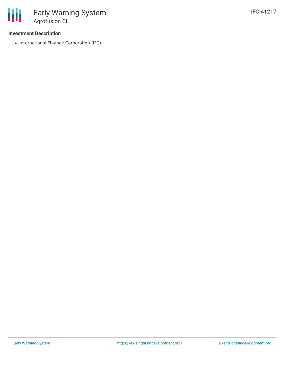

### **Investment Description**

• International Finance Corporation (IFC)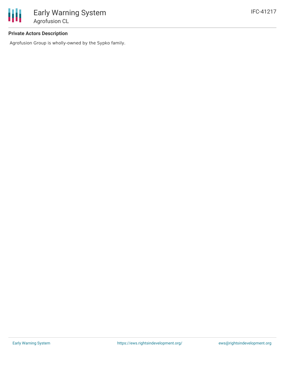### **Private Actors Description**

Agrofusion Group is wholly-owned by the Sypko family.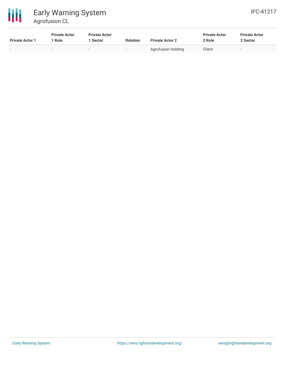

# Early Warning System Agrofusion CL

| <b>Private Actor 1</b>   | <b>Private Actor</b><br>Role | <b>Private Actor</b><br>Sector | <b>Relation</b> | <b>Private Actor 2</b> | <b>Private Actor</b><br>2 Role | <b>Private Actor</b><br>2 Sector |
|--------------------------|------------------------------|--------------------------------|-----------------|------------------------|--------------------------------|----------------------------------|
| $\overline{\phantom{0}}$ | $\sim$                       | $\overline{\phantom{0}}$       |                 | Agrofusion Holding     | Client                         | $\overline{\phantom{a}}$         |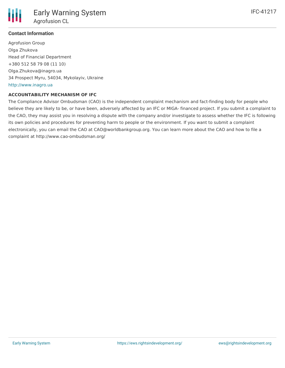

### **Contact Information**

Agrofusion Group Olga Zhukova Head of Financial Department +380 512 58 79 08 (11 10) Olga.Zhukova@inagro.ua 34 Prospect Myru, 54034, Mykolayiv, Ukraine <http://www.inagro.ua>

#### **ACCOUNTABILITY MECHANISM OF IFC**

The Compliance Advisor Ombudsman (CAO) is the independent complaint mechanism and fact-finding body for people who believe they are likely to be, or have been, adversely affected by an IFC or MIGA- financed project. If you submit a complaint to the CAO, they may assist you in resolving a dispute with the company and/or investigate to assess whether the IFC is following its own policies and procedures for preventing harm to people or the environment. If you want to submit a complaint electronically, you can email the CAO at CAO@worldbankgroup.org. You can learn more about the CAO and how to file a complaint at http://www.cao-ombudsman.org/